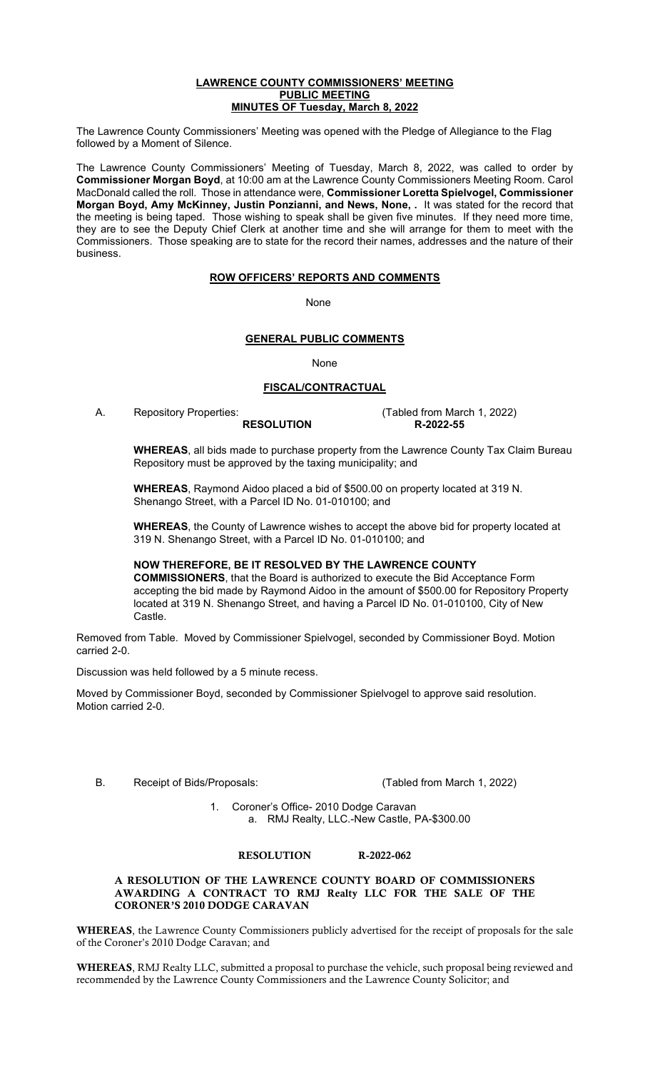#### **LAWRENCE COUNTY COMMISSIONERS' MEETING PUBLIC MEETING MINUTES OF Tuesday, March 8, 2022**

The Lawrence County Commissioners' Meeting was opened with the Pledge of Allegiance to the Flag followed by a Moment of Silence.

The Lawrence County Commissioners' Meeting of Tuesday, March 8, 2022, was called to order by **Commissioner Morgan Boyd**, at 10:00 am at the Lawrence County Commissioners Meeting Room. Carol MacDonald called the roll. Those in attendance were, **Commissioner Loretta Spielvogel, Commissioner Morgan Boyd, Amy McKinney, Justin Ponzianni, and News, None, .** It was stated for the record that the meeting is being taped. Those wishing to speak shall be given five minutes. If they need more time, they are to see the Deputy Chief Clerk at another time and she will arrange for them to meet with the Commissioners. Those speaking are to state for the record their names, addresses and the nature of their business.

### **ROW OFFICERS' REPORTS AND COMMENTS**

non-state and the contract of the Mone None

### **GENERAL PUBLIC COMMENTS**

None

## **FISCAL/CONTRACTUAL**

**RESOLUTION** 

A. Repository Properties:<br>
RESOLUTION R-2022-55

**WHEREAS**, all bids made to purchase property from the Lawrence County Tax Claim Bureau Repository must be approved by the taxing municipality; and

**WHEREAS**, Raymond Aidoo placed a bid of \$500.00 on property located at 319 N. Shenango Street, with a Parcel ID No. 01-010100; and

**WHEREAS**, the County of Lawrence wishes to accept the above bid for property located at 319 N. Shenango Street, with a Parcel ID No. 01-010100; and

**NOW THEREFORE, BE IT RESOLVED BY THE LAWRENCE COUNTY COMMISSIONERS**, that the Board is authorized to execute the Bid Acceptance Form accepting the bid made by Raymond Aidoo in the amount of \$500.00 for Repository Property located at 319 N. Shenango Street, and having a Parcel ID No. 01-010100, City of New Castle.

Removed from Table. Moved by Commissioner Spielvogel, seconded by Commissioner Boyd. Motion carried 2-0.

Discussion was held followed by a 5 minute recess.

Moved by Commissioner Boyd, seconded by Commissioner Spielvogel to approve said resolution. Motion carried 2-0.

B. Receipt of Bids/Proposals: (Tabled from March 1, 2022)

1. Coroner's Office- 2010 Dodge Caravan a. RMJ Realty, LLC.-New Castle, PA-\$300.00

### RESOLUTION R-2022-062

A RESOLUTION OF THE LAWRENCE COUNTY BOARD OF COMMISSIONERS AWARDING A CONTRACT TO RMJ Realty LLC FOR THE SALE OF THE CORONER'S 2010 DODGE CARAVAN

WHEREAS, the Lawrence County Commissioners publicly advertised for the receipt of proposals for the sale of the Coroner's 2010 Dodge Caravan; and

WHEREAS, RMJ Realty LLC, submitted a proposal to purchase the vehicle, such proposal being reviewed and recommended by the Lawrence County Commissioners and the Lawrence County Solicitor; and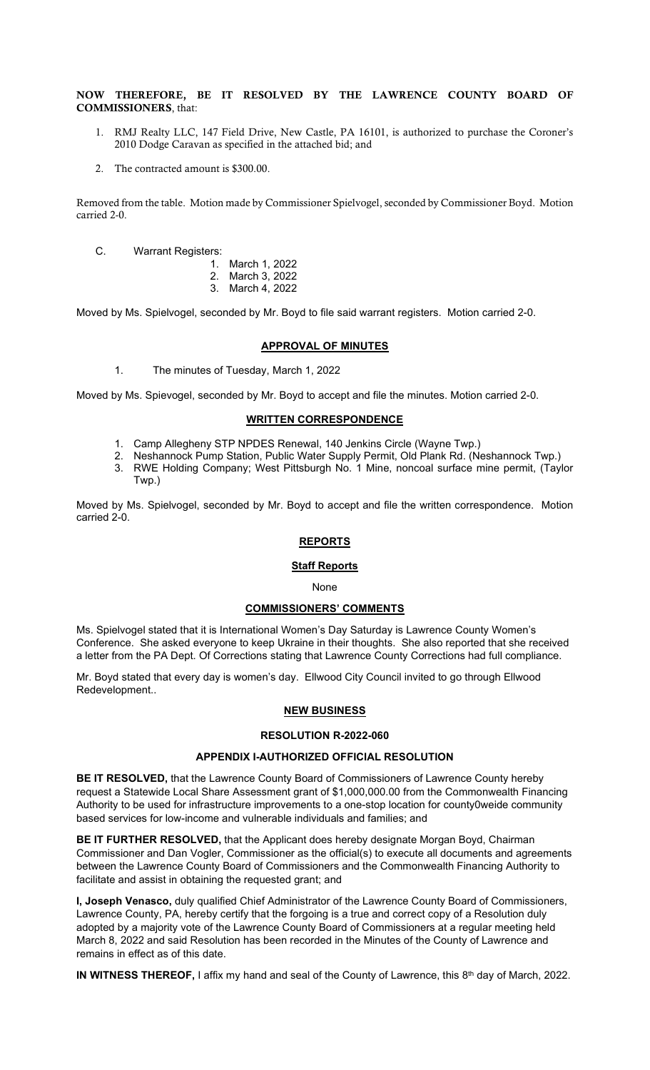NOW THEREFORE, BE IT RESOLVED BY THE LAWRENCE COUNTY BOARD OF COMMISSIONERS, that:

- 1. RMJ Realty LLC, 147 Field Drive, New Castle, PA 16101, is authorized to purchase the Coroner's 2010 Dodge Caravan as specified in the attached bid; and
- 2. The contracted amount is \$300.00.

Removed from the table. Motion made by Commissioner Spielvogel, seconded by Commissioner Boyd. Motion carried 2-0.

- C. Warrant Registers:
	- 1. March 1, 2022
		- 2. March 3, 2022
		- 3. March 4, 2022

Moved by Ms. Spielvogel, seconded by Mr. Boyd to file said warrant registers. Motion carried 2-0.

### **APPROVAL OF MINUTES**

1. The minutes of Tuesday, March 1, 2022

Moved by Ms. Spievogel, seconded by Mr. Boyd to accept and file the minutes. Motion carried 2-0.

## **WRITTEN CORRESPONDENCE**

- 1. Camp Allegheny STP NPDES Renewal, 140 Jenkins Circle (Wayne Twp.)
- 2. Neshannock Pump Station, Public Water Supply Permit, Old Plank Rd. (Neshannock Twp.)
- 3. RWE Holding Company; West Pittsburgh No. 1 Mine, noncoal surface mine permit, (Taylor Twp.)

Moved by Ms. Spielvogel, seconded by Mr. Boyd to accept and file the written correspondence. Motion carried 2-0.

## **REPORTS**

### **Staff Reports**

### None

## **COMMISSIONERS' COMMENTS**

Ms. Spielvogel stated that it is International Women's Day Saturday is Lawrence County Women's Conference. She asked everyone to keep Ukraine in their thoughts. She also reported that she received a letter from the PA Dept. Of Corrections stating that Lawrence County Corrections had full compliance.

Mr. Boyd stated that every day is women's day. Ellwood City Council invited to go through Ellwood Redevelopment..

## **NEW BUSINESS**

## **RESOLUTION R-2022-060**

### **APPENDIX I-AUTHORIZED OFFICIAL RESOLUTION**

**BE IT RESOLVED,** that the Lawrence County Board of Commissioners of Lawrence County hereby request a Statewide Local Share Assessment grant of \$1,000,000.00 from the Commonwealth Financing Authority to be used for infrastructure improvements to a one-stop location for county0weide community based services for low-income and vulnerable individuals and families; and

**BE IT FURTHER RESOLVED,** that the Applicant does hereby designate Morgan Boyd, Chairman Commissioner and Dan Vogler, Commissioner as the official(s) to execute all documents and agreements between the Lawrence County Board of Commissioners and the Commonwealth Financing Authority to facilitate and assist in obtaining the requested grant; and

**I, Joseph Venasco,** duly qualified Chief Administrator of the Lawrence County Board of Commissioners, Lawrence County, PA, hereby certify that the forgoing is a true and correct copy of a Resolution duly adopted by a majority vote of the Lawrence County Board of Commissioners at a regular meeting held March 8, 2022 and said Resolution has been recorded in the Minutes of the County of Lawrence and remains in effect as of this date.

**IN WITNESS THEREOF,** I affix my hand and seal of the County of Lawrence, this 8th day of March, 2022.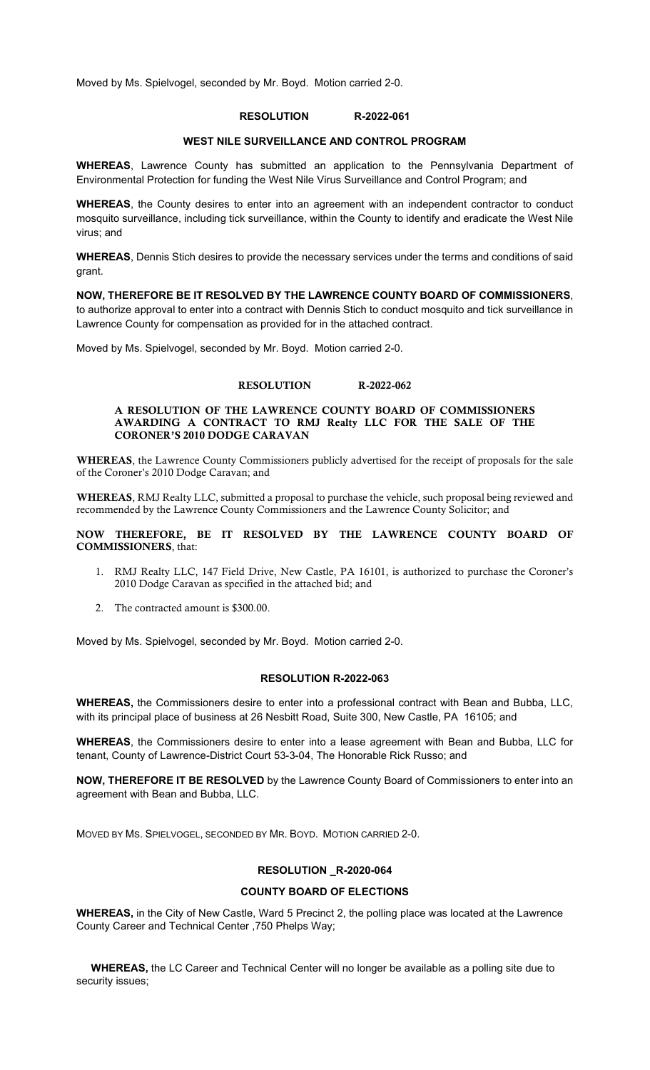Moved by Ms. Spielvogel, seconded by Mr. Boyd. Motion carried 2-0.

# **RESOLUTION R-2022-061**

### **WEST NILE SURVEILLANCE AND CONTROL PROGRAM**

**WHEREAS**, Lawrence County has submitted an application to the Pennsylvania Department of Environmental Protection for funding the West Nile Virus Surveillance and Control Program; and

**WHEREAS**, the County desires to enter into an agreement with an independent contractor to conduct mosquito surveillance, including tick surveillance, within the County to identify and eradicate the West Nile virus; and

**WHEREAS**, Dennis Stich desires to provide the necessary services under the terms and conditions of said grant.

**NOW, THEREFORE BE IT RESOLVED BY THE LAWRENCE COUNTY BOARD OF COMMISSIONERS**, to authorize approval to enter into a contract with Dennis Stich to conduct mosquito and tick surveillance in Lawrence County for compensation as provided for in the attached contract.

Moved by Ms. Spielvogel, seconded by Mr. Boyd. Motion carried 2-0.

### RESOLUTION R-2022-062

### A RESOLUTION OF THE LAWRENCE COUNTY BOARD OF COMMISSIONERS AWARDING A CONTRACT TO RMJ Realty LLC FOR THE SALE OF THE CORONER'S 2010 DODGE CARAVAN

WHEREAS, the Lawrence County Commissioners publicly advertised for the receipt of proposals for the sale of the Coroner's 2010 Dodge Caravan; and

WHEREAS, RMJ Realty LLC, submitted a proposal to purchase the vehicle, such proposal being reviewed and recommended by the Lawrence County Commissioners and the Lawrence County Solicitor; and

NOW THEREFORE, BE IT RESOLVED BY THE LAWRENCE COUNTY BOARD OF COMMISSIONERS, that:

- 1. RMJ Realty LLC, 147 Field Drive, New Castle, PA 16101, is authorized to purchase the Coroner's 2010 Dodge Caravan as specified in the attached bid; and
- 2. The contracted amount is \$300.00.

Moved by Ms. Spielvogel, seconded by Mr. Boyd. Motion carried 2-0.

### **RESOLUTION R-2022-063**

**WHEREAS,** the Commissioners desire to enter into a professional contract with Bean and Bubba, LLC, with its principal place of business at 26 Nesbitt Road, Suite 300, New Castle, PA 16105; and

**WHEREAS**, the Commissioners desire to enter into a lease agreement with Bean and Bubba, LLC for tenant, County of Lawrence-District Court 53-3-04, The Honorable Rick Russo; and

**NOW, THEREFORE IT BE RESOLVED** by the Lawrence County Board of Commissioners to enter into an agreement with Bean and Bubba, LLC.

MOVED BY MS. SPIELVOGEL, SECONDED BY MR. BOYD. MOTION CARRIED 2-0.

## **RESOLUTION \_R-2020-064**

## **COUNTY BOARD OF ELECTIONS**

**WHEREAS,** in the City of New Castle, Ward 5 Precinct 2, the polling place was located at the Lawrence County Career and Technical Center ,750 Phelps Way;

 **WHEREAS,** the LC Career and Technical Center will no longer be available as a polling site due to security issues;